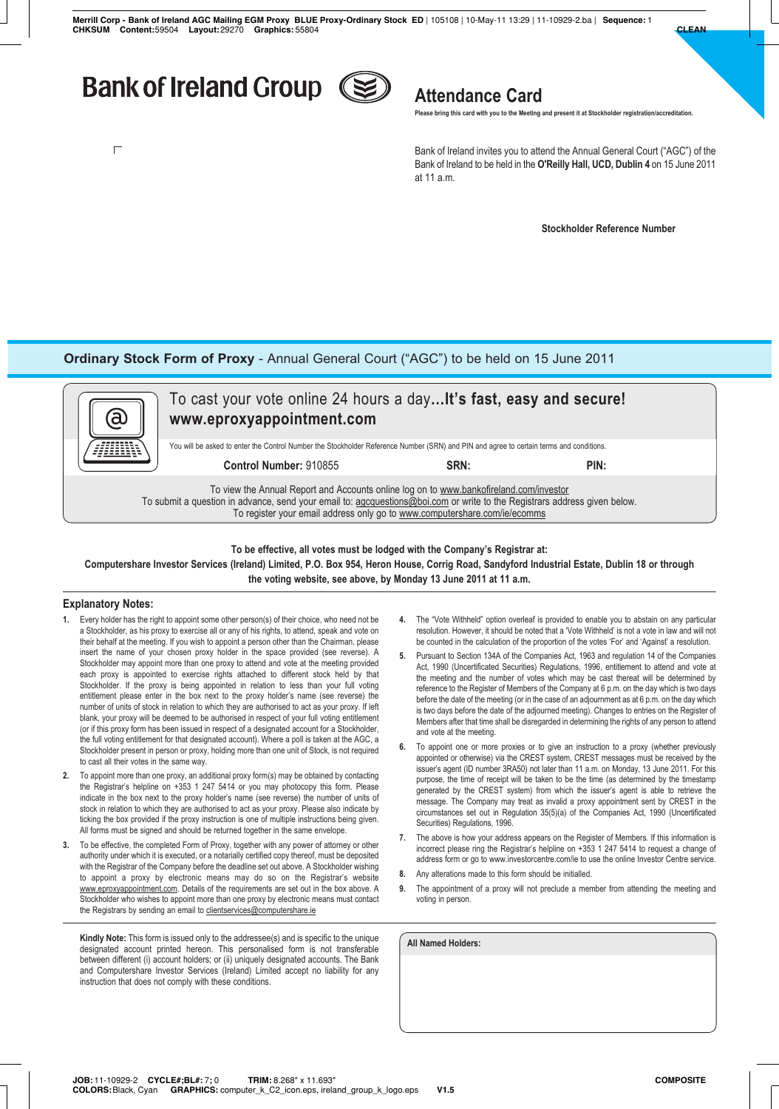# **Bank of Ireland Group**

 $\Box$ 



## **Attendance Card**

**Please bring this card with you to the Meeting and present it at Stockholder registration/accreditation.**

Bank of Ireland invites you to attend the Annual General Court ("AGC") of the Bank of Ireland to be held in the **O'Reilly Hall, UCD, Dublin 4** on 15 June 2011 at 11 a.m.

**Stockholder Reference Number**

### **Ordinary Stock Form of Proxy** - Annual General Court ("AGC") to be held on 15 June 2011

| (a                                                                                                                                                                                                                                                                                               | To cast your vote online 24 hours a day It's fast, easy and secure!<br>www.eproxyappointment.com |      |      |  |  |
|--------------------------------------------------------------------------------------------------------------------------------------------------------------------------------------------------------------------------------------------------------------------------------------------------|--------------------------------------------------------------------------------------------------|------|------|--|--|
| You will be asked to enter the Control Number the Stockholder Reference Number (SRN) and PIN and agree to certain terms and conditions.                                                                                                                                                          |                                                                                                  |      |      |  |  |
|                                                                                                                                                                                                                                                                                                  | Control Number: 910855                                                                           | SRN: | PIN: |  |  |
| To view the Annual Report and Accounts online log on to www.bankofireland.com/investor<br>To submit a question in advance, send your email to: agoguestions@boi.com or write to the Registrars address given below.<br>To register your email address only go to www.computershare.com/ie/ecomms |                                                                                                  |      |      |  |  |

### **To be effective, all votes must be lodged with the Company's Registrar at: Computershare Investor Services (Ireland) Limited, P.O. Box 954, Heron House, Corrig Road, Sandyford Industrial Estate, Dublin 18 or through the voting website, see above, by Monday 13 June 2011 at 11 a.m.**

#### **Explanatory Notes:**

- **1.** Every holder has the right to appoint some other person(s) of their choice, who need not be a Stockholder, as his proxy to exercise all or any of his rights, to attend, speak and vote on their behalf at the meeting. If you wish to appoint a person other than the Chairman, please insert the name of your chosen proxy holder in the space provided (see reverse). A Stockholder may appoint more than one proxy to attend and vote at the meeting provided each proxy is appointed to exercise rights attached to different stock held by that Stockholder. If the proxy is being appointed in relation to less than your full voting entitlement please enter in the box next to the proxy holder's name (see reverse) the number of units of stock in relation to which they are authorised to act as your proxy. If left blank, your proxy will be deemed to be authorised in respect of your full voting entitlement (or if this proxy form has been issued in respect of a designated account for a Stockholder, the full voting entitlement for that designated account). Where a poll is taken at the AGC, a Stockholder present in person or proxy, holding more than one unit of Stock, is not required to cast all their votes in the same way.
- **2.** To appoint more than one proxy, an additional proxy form(s) may be obtained by contacting the Registrar's helpline on +353 1 247 5414 or you may photocopy this form. Please indicate in the box next to the proxy holder's name (see reverse) the number of units of stock in relation to which they are authorised to act as your proxy. Please also indicate by ticking the box provided if the proxy instruction is one of multiple instructions being given. All forms must be signed and should be returned together in the same envelope.
- **3.** To be effective, the completed Form of Proxy, together with any power of attorney or other authority under which it is executed, or a notarially certified copy thereof, must be deposited with the Registrar of the Company before the deadline set out above. A Stockholder wishing to appoint a proxy by electronic means may do so on the Registrar's website www.eproxyappointment.com. Details of the requirements are set out in the box above. A Stockholder who wishes to appoint more than one proxy by electronic means must contact the Registrars by sending an email to clientservices@computershare.ie

**Kindly Note:** This form is issued only to the addressee(s) and is specific to the unique designated account printed hereon. This personalised form is not transferable between different (i) account holders; or (ii) uniquely designated accounts. The Bank and Computershare Investor Services (Ireland) Limited accept no liability for any instruction that does not comply with these conditions.

- **4.** The "Vote Withheld" option overleaf is provided to enable you to abstain on any particular resolution. However, it should be noted that a 'Vote Withheld' is not a vote in law and will not be counted in the calculation of the proportion of the votes 'For' and 'Against' a resolution.
- **5.** Pursuant to Section 134A of the Companies Act, 1963 and regulation 14 of the Companies Act, 1990 (Uncertificated Securities) Regulations, 1996, entitlement to attend and vote at the meeting and the number of votes which may be cast thereat will be determined by reference to the Register of Members of the Company at 6 p.m. on the day which is two days before the date of the meeting (or in the case of an adjournment as at 6 p.m. on the day which is two days before the date of the adjourned meeting). Changes to entries on the Register of Members after that time shall be disregarded in determining the rights of any person to attend and vote at the meeting.
- **6.** To appoint one or more proxies or to give an instruction to a proxy (whether previously appointed or otherwise) via the CREST system, CREST messages must be received by the issuer's agent (ID number 3RA50) not later than 11 a.m. on Monday, 13 June 2011. For this purpose, the time of receipt will be taken to be the time (as determined by the timestamp generated by the CREST system) from which the issuer's agent is able to retrieve the message. The Company may treat as invalid a proxy appointment sent by CREST in the circumstances set out in Regulation 35(5)(a) of the Companies Act, 1990 (Uncertificated Securities) Regulations, 1996.
- **7.** The above is how your address appears on the Register of Members. If this information is incorrect please ring the Registrar's helpline on +353 1 247 5414 to request a change of address form or go to www.investorcentre.com/ie to use the online Investor Centre service.
- **8.** Any alterations made to this form should be initialled.
- **9.** The appointment of a proxy will not preclude a member from attending the meeting and voting in person.

**All Named Holders:**